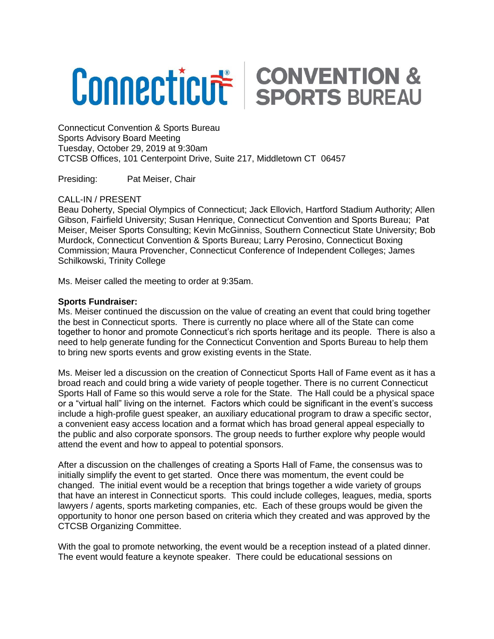## **Connecticut SPORTS BUREAU**

Connecticut Convention & Sports Bureau Sports Advisory Board Meeting Tuesday, October 29, 2019 at 9:30am CTCSB Offices, 101 Centerpoint Drive, Suite 217, Middletown CT 06457

Presiding: Pat Meiser, Chair

## CALL-IN / PRESENT

Beau Doherty, Special Olympics of Connecticut; Jack Ellovich, Hartford Stadium Authority; Allen Gibson, Fairfield University; Susan Henrique, Connecticut Convention and Sports Bureau; Pat Meiser, Meiser Sports Consulting; Kevin McGinniss, Southern Connecticut State University; Bob Murdock, Connecticut Convention & Sports Bureau; Larry Perosino, Connecticut Boxing Commission; Maura Provencher, Connecticut Conference of Independent Colleges; James Schilkowski, Trinity College

Ms. Meiser called the meeting to order at 9:35am.

## **Sports Fundraiser:**

Ms. Meiser continued the discussion on the value of creating an event that could bring together the best in Connecticut sports. There is currently no place where all of the State can come together to honor and promote Connecticut's rich sports heritage and its people. There is also a need to help generate funding for the Connecticut Convention and Sports Bureau to help them to bring new sports events and grow existing events in the State.

Ms. Meiser led a discussion on the creation of Connecticut Sports Hall of Fame event as it has a broad reach and could bring a wide variety of people together. There is no current Connecticut Sports Hall of Fame so this would serve a role for the State. The Hall could be a physical space or a "virtual hall" living on the internet. Factors which could be significant in the event's success include a high-profile guest speaker, an auxiliary educational program to draw a specific sector, a convenient easy access location and a format which has broad general appeal especially to the public and also corporate sponsors. The group needs to further explore why people would attend the event and how to appeal to potential sponsors.

After a discussion on the challenges of creating a Sports Hall of Fame, the consensus was to initially simplify the event to get started. Once there was momentum, the event could be changed. The initial event would be a reception that brings together a wide variety of groups that have an interest in Connecticut sports. This could include colleges, leagues, media, sports lawyers / agents, sports marketing companies, etc. Each of these groups would be given the opportunity to honor one person based on criteria which they created and was approved by the CTCSB Organizing Committee.

With the goal to promote networking, the event would be a reception instead of a plated dinner. The event would feature a keynote speaker. There could be educational sessions on